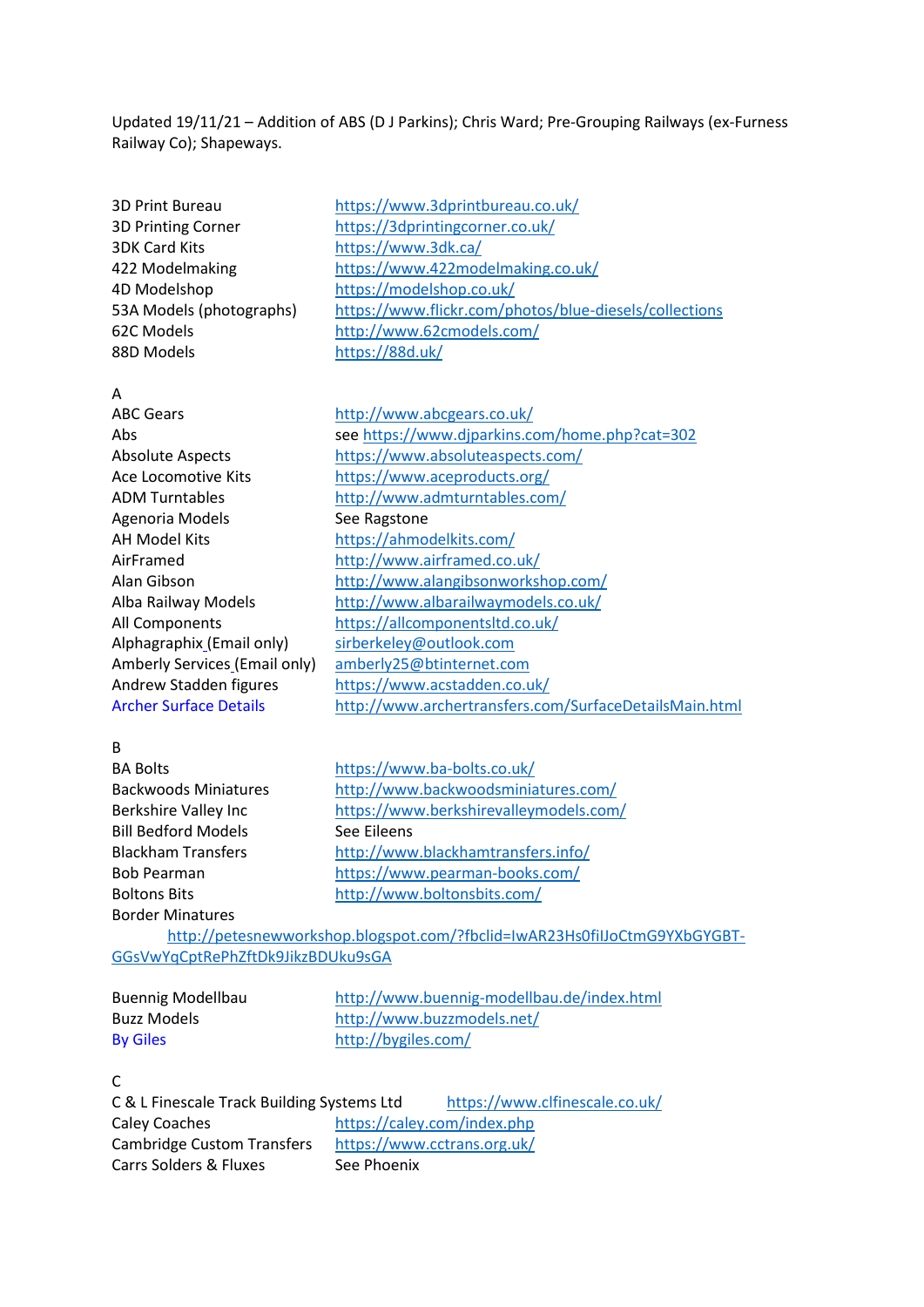Updated 19/11/21 – Addition of ABS (D J Parkins); Chris Ward; Pre-Grouping Railways (ex-Furness Railway Co); Shapeways.

3D Print Bureau <https://www.3dprintbureau.co.uk/> 3DK Card Kits <https://www.3dk.ca/> 4D Modelshop <https://modelshop.co.uk/> 88D Models <https://88d.uk/>

3D Printing Corner <https://3dprintingcorner.co.uk/> 422 Modelmaking <https://www.422modelmaking.co.uk/> 53A Models (photographs) <https://www.flickr.com/photos/blue-diesels/collections> 62C Models <http://www.62cmodels.com/>

#### A

| <b>ABC Gears</b>              | http://www.abcgears.co.uk/                             |
|-------------------------------|--------------------------------------------------------|
| Abs                           | see https://www.djparkins.com/home.php?cat=302         |
| <b>Absolute Aspects</b>       | https://www.absoluteaspects.com/                       |
| Ace Locomotive Kits           | https://www.aceproducts.org/                           |
| <b>ADM Turntables</b>         | http://www.admturntables.com/                          |
| Agenoria Models               | See Ragstone                                           |
| AH Model Kits                 | https://ahmodelkits.com/                               |
| AirFramed                     | http://www.airframed.co.uk/                            |
| Alan Gibson                   | http://www.alangibsonworkshop.com/                     |
| Alba Railway Models           | http://www.albarailwaymodels.co.uk/                    |
| All Components                | https://allcomponentsltd.co.uk/                        |
| Alphagraphix (Email only)     | sirberkeley@outlook.com                                |
| Amberly Services (Email only) | amberly25@btinternet.com                               |
| Andrew Stadden figures        | https://www.acstadden.co.uk/                           |
| <b>Archer Surface Details</b> | http://www.archertransfers.com/SurfaceDetailsMain.html |
|                               |                                                        |

#### B

Bill Bedford Models See Eileens Border Minatures

BA Bolts <https://www.ba-bolts.co.uk/> Backwoods Miniatures <http://www.backwoodsminiatures.com/> Berkshire Valley Inc <https://www.berkshirevalleymodels.com/> Blackham Transfers <http://www.blackhamtransfers.info/> Bob Pearman <https://www.pearman-books.com/> Boltons Bits <http://www.boltonsbits.com/>

[http://petesnewworkshop.blogspot.com/?fbclid=IwAR23Hs0fiIJoCtmG9YXbGYGBT-](http://petesnewworkshop.blogspot.com/?fbclid=IwAR23Hs0fiIJoCtmG9YXbGYGBT-GGsVwYqCptRePhZftDk9JikzBDUku9sGA)[GGsVwYqCptRePhZftDk9JikzBDUku9sGA](http://petesnewworkshop.blogspot.com/?fbclid=IwAR23Hs0fiIJoCtmG9YXbGYGBT-GGsVwYqCptRePhZftDk9JikzBDUku9sGA)

Buennig Modellbau <http://www.buennig-modellbau.de/index.html> Buzz Models <http://www.buzzmodels.net/> By Giles <http://bygiles.com/>

# $\mathsf{C}$

C & L Finescale Track Building Systems Ltd <https://www.clfinescale.co.uk/> Caley Coaches <https://caley.com/index.php> Cambridge Custom Transfers <https://www.cctrans.org.uk/> Carrs Solders & Fluxes See Phoenix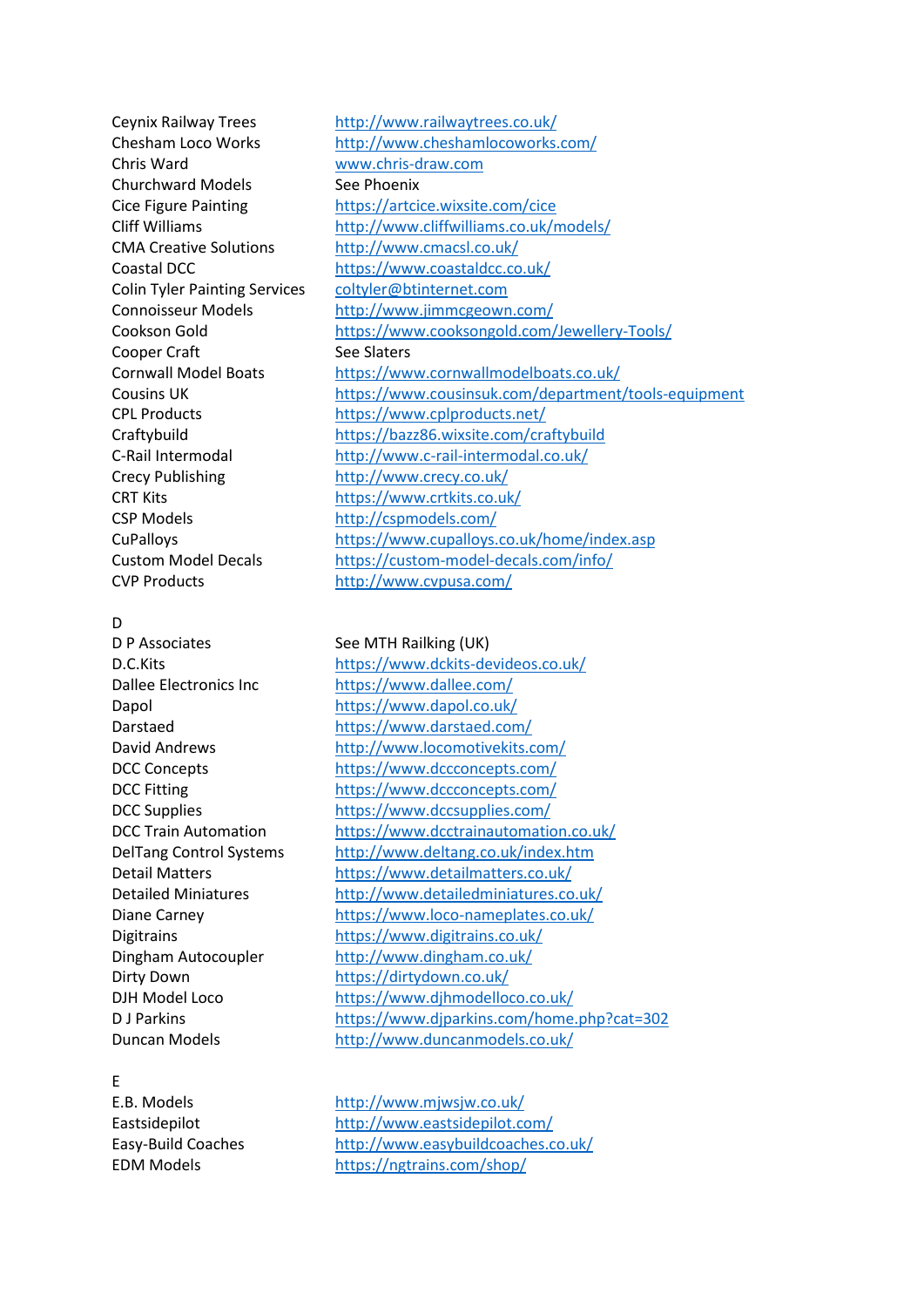Chris Ward [www.chris-draw.com](http://www.chris-draw.com/) Churchward Models See Phoenix CMA Creative Solutions <http://www.cmacsl.co.uk/> Colin Tyler Painting Services [coltyler@btinternet.com](https://d.docs.live.net/d2d4d56bcc8208f1/Documents/coltyler@btinternet.com) Cooper Craft See Slaters Crecy Publishing <http://www.crecy.co.uk/> CRT Kits <https://www.crtkits.co.uk/> CSP Models <http://cspmodels.com/> CVP Products <http://www.cvpusa.com/>

#### D

# E

Ceynix Railway Trees <http://www.railwaytrees.co.uk/> Chesham Loco Works <http://www.cheshamlocoworks.com/> Cice Figure Painting <https://artcice.wixsite.com/cice> Cliff Williams <http://www.cliffwilliams.co.uk/models/> Coastal DCC <https://www.coastaldcc.co.uk/> Connoisseur Models <http://www.jimmcgeown.com/> Cookson Gold <https://www.cooksongold.com/Jewellery-Tools/> Cornwall Model Boats <https://www.cornwallmodelboats.co.uk/> Cousins UK <https://www.cousinsuk.com/department/tools-equipment> CPL Products <https://www.cplproducts.net/> Craftybuild <https://bazz86.wixsite.com/craftybuild> C-Rail Intermodal <http://www.c-rail-intermodal.co.uk/> CuPalloys <https://www.cupalloys.co.uk/home/index.asp> Custom Model Decals <https://custom-model-decals.com/info/>

#### D P Associates See MTH Railking (UK)

D.C.Kits <https://www.dckits-devideos.co.uk/> Dallee Electronics Inc <https://www.dallee.com/> Dapol <https://www.dapol.co.uk/> Darstaed <https://www.darstaed.com/> David Andrews <http://www.locomotivekits.com/> DCC Concepts <https://www.dccconcepts.com/> DCC Fitting <https://www.dccconcepts.com/> DCC Supplies <https://www.dccsupplies.com/> DCC Train Automation <https://www.dcctrainautomation.co.uk/> DelTang Control Systems <http://www.deltang.co.uk/index.htm> Detail Matters <https://www.detailmatters.co.uk/> Detailed Miniatures <http://www.detailedminiatures.co.uk/> Diane Carney <https://www.loco-nameplates.co.uk/> Digitrains <https://www.digitrains.co.uk/> Dingham Autocoupler <http://www.dingham.co.uk/> Dirty Down <https://dirtydown.co.uk/> DJH Model Loco <https://www.djhmodelloco.co.uk/> D J Parkins <https://www.djparkins.com/home.php?cat=302> Duncan Models <http://www.duncanmodels.co.uk/>

E.B. Models <http://www.mjwsjw.co.uk/> Eastsidepilot <http://www.eastsidepilot.com/> Easy-Build Coaches <http://www.easybuildcoaches.co.uk/> EDM Models <https://ngtrains.com/shop/>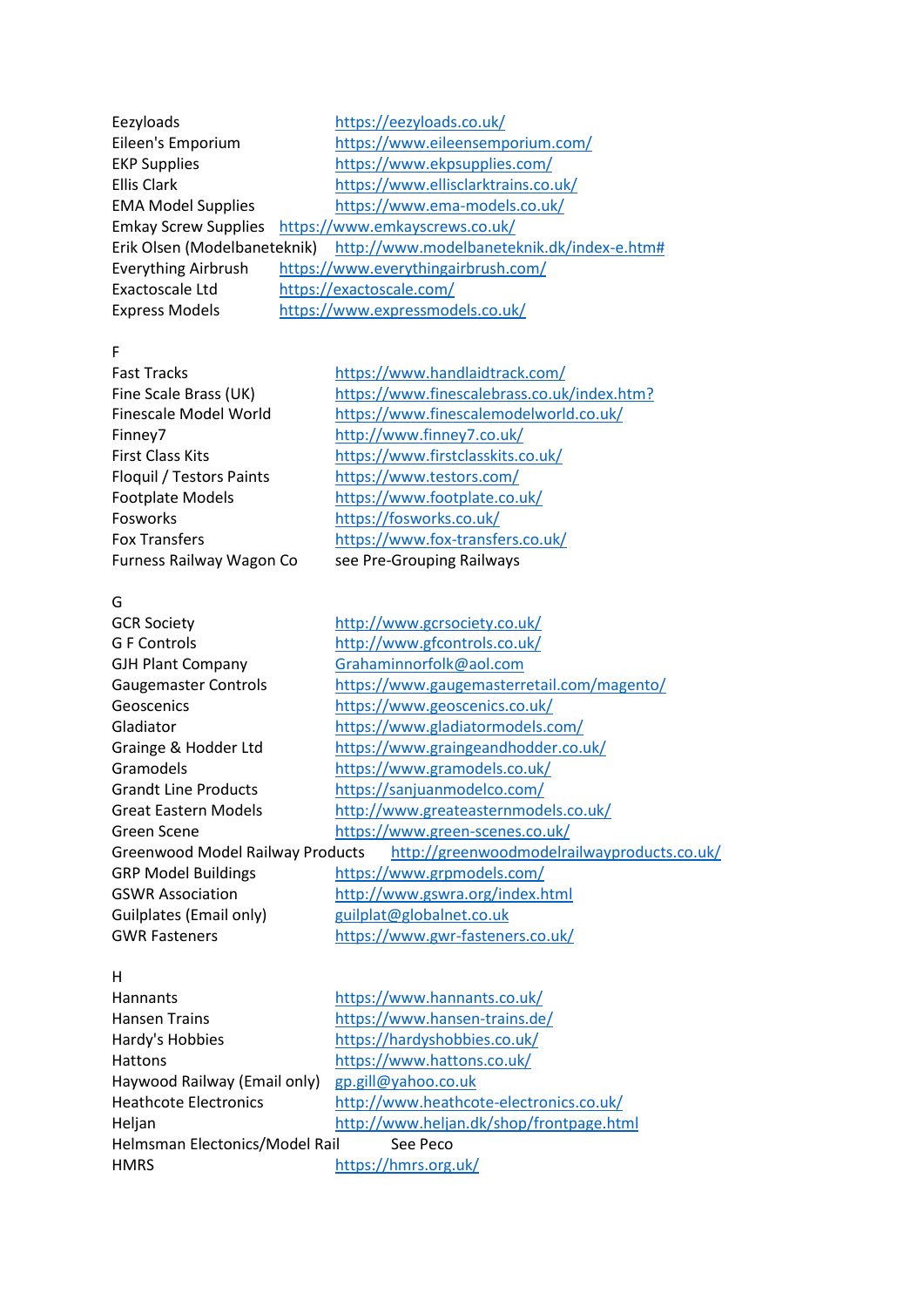| https://eezyloads.co.uk/                                                |  |  |
|-------------------------------------------------------------------------|--|--|
| https://www.eileensemporium.com/                                        |  |  |
| https://www.ekpsupplies.com/                                            |  |  |
| https://www.ellisclarktrains.co.uk/                                     |  |  |
| https://www.ema-models.co.uk/                                           |  |  |
| Emkay Screw Supplies https://www.emkayscrews.co.uk/                     |  |  |
| Erik Olsen (Modelbaneteknik) http://www.modelbaneteknik.dk/index-e.htm# |  |  |
| https://www.everythingairbrush.com/                                     |  |  |
| https://exactoscale.com/                                                |  |  |
| https://www.expressmodels.co.uk/                                        |  |  |
|                                                                         |  |  |

F

Fast Tracks <https://www.handlaidtrack.com/> Fine Scale Brass (UK) <https://www.finescalebrass.co.uk/index.htm?> Finescale Model World <https://www.finescalemodelworld.co.uk/> Finney7 <http://www.finney7.co.uk/> First Class Kits <https://www.firstclasskits.co.uk/> Floquil / Testors Paints <https://www.testors.com/> Footplate Models <https://www.footplate.co.uk/> Fosworks <https://fosworks.co.uk/> Fox Transfers <https://www.fox-transfers.co.uk/> Furness Railway Wagon Co see Pre-Grouping Railways

# G

| <b>GCR Society</b>                                                              | http://www.gcrsociety.co.uk/               |
|---------------------------------------------------------------------------------|--------------------------------------------|
| G F Controls                                                                    | http://www.gfcontrols.co.uk/               |
| <b>GJH Plant Company</b>                                                        | Grahaminnorfolk@aol.com                    |
| <b>Gaugemaster Controls</b>                                                     | https://www.gaugemasterretail.com/magento/ |
| Geoscenics                                                                      | https://www.geoscenics.co.uk/              |
| Gladiator                                                                       | https://www.gladiatormodels.com/           |
| Grainge & Hodder Ltd                                                            | https://www.graingeandhodder.co.uk/        |
| Gramodels                                                                       | https://www.gramodels.co.uk/               |
| <b>Grandt Line Products</b>                                                     | https://sanjuanmodelco.com/                |
| Great Eastern Models                                                            | http://www.greateasternmodels.co.uk/       |
| Green Scene                                                                     | https://www.green-scenes.co.uk/            |
| http://greenwoodmodelrailwayproducts.co.uk/<br>Greenwood Model Railway Products |                                            |
| <b>GRP Model Buildings</b>                                                      | https://www.grpmodels.com/                 |
| <b>GSWR Association</b>                                                         | http://www.gswra.org/index.html            |
| Guilplates (Email only)                                                         | guilplat@globalnet.co.uk                   |
| <b>GWR Fasteners</b>                                                            | https://www.gwr-fasteners.co.uk/           |
|                                                                                 |                                            |

#### H

Hannants <https://www.hannants.co.uk/> Hansen Trains <https://www.hansen-trains.de/> Hardy's Hobbies <https://hardyshobbies.co.uk/> Hattons <https://www.hattons.co.uk/> Haywood Railway (Email only) [gp.gill@yahoo.co.uk](https://d.docs.live.net/d2d4d56bcc8208f1/Documents/gp.gill@yahoo.co.uk) Heathcote Electronics <http://www.heathcote-electronics.co.uk/> Heljan <http://www.heljan.dk/shop/frontpage.html> Helmsman Electonics/Model Rail See Peco HMRS <https://hmrs.org.uk/>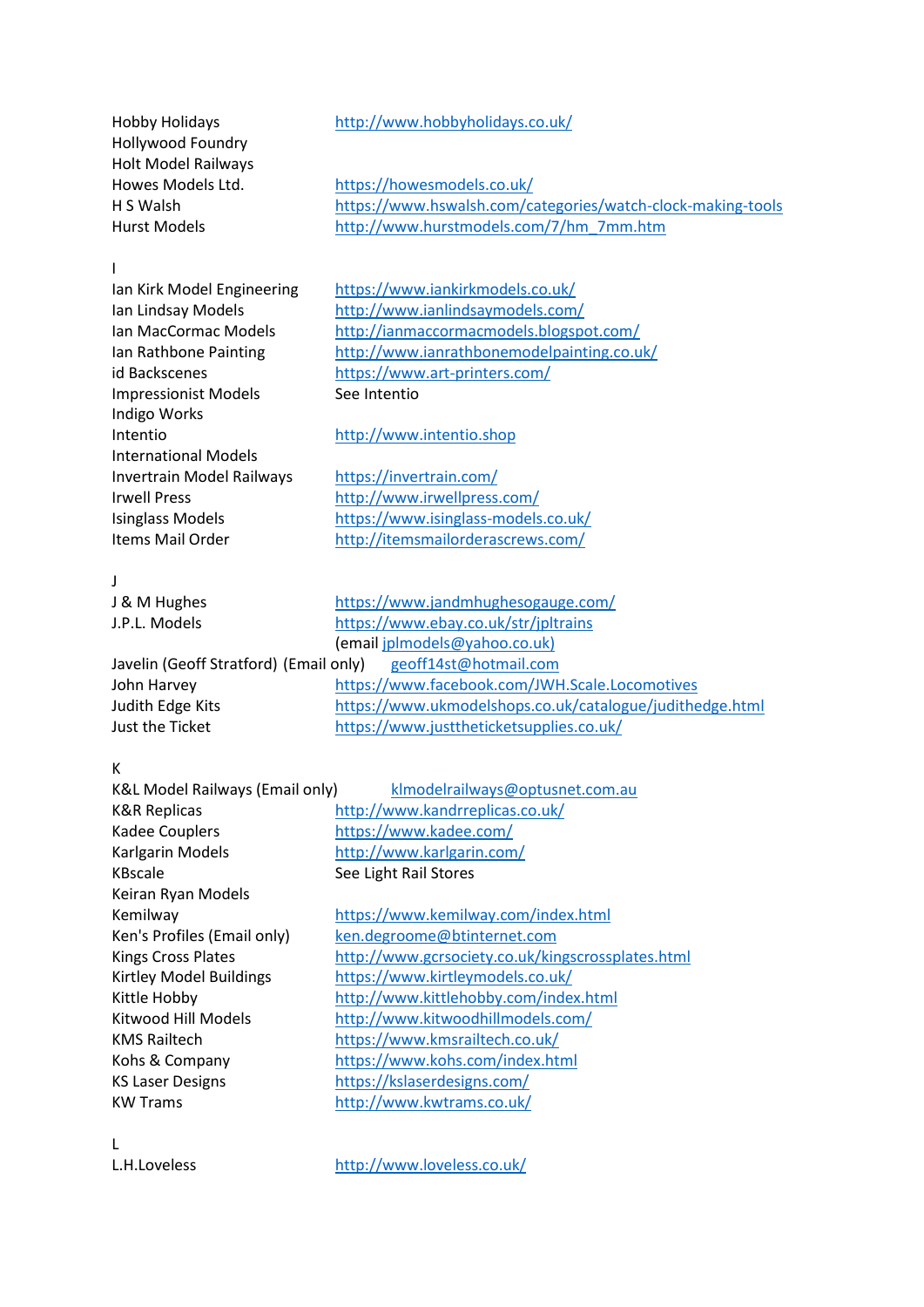Hollywood Foundry Holt Model Railways

# Hobby Holidays <http://www.hobbyholidays.co.uk/>

Howes Models Ltd. <https://howesmodels.co.uk/> H S Walsh <https://www.hswalsh.com/categories/watch-clock-making-tools> Hurst Models [http://www.hurstmodels.com/7/hm\\_7mm.htm](http://www.hurstmodels.com/7/hm_7mm.htm)

## I

Impressionist Models See Intentio Indigo Works Intentio [http://www.intentio.shop](http://www.intentio.shop/) International Models Invertrain Model Railways <https://invertrain.com/>

Ian Kirk Model Engineering <https://www.iankirkmodels.co.uk/> Ian Lindsay Models <http://www.ianlindsaymodels.com/> Ian MacCormac Models <http://ianmaccormacmodels.blogspot.com/> Ian Rathbone Painting <http://www.ianrathbonemodelpainting.co.uk/> id Backscenes <https://www.art-printers.com/>

Irwell Press <http://www.irwellpress.com/> Isinglass Models<br>Items Mail Order <https://www.isinglass-models.co.uk/><br>http://itemsmailorderascrews.com/ <http://itemsmailorderascrews.com/>

#### J

| J & M Hughes                                                 | https://www.jandmhughesogauge.com/                       |
|--------------------------------------------------------------|----------------------------------------------------------|
| J.P.L. Models                                                | https://www.ebay.co.uk/str/jpltrains                     |
|                                                              | (email jplmodels@yahoo.co.uk)                            |
| Javelin (Geoff Stratford) (Email only) geoff14st@hotmail.com |                                                          |
| John Harvey                                                  | https://www.facebook.com/JWH.Scale.Locomotives           |
| Judith Edge Kits                                             | https://www.ukmodelshops.co.uk/catalogue/judithedge.html |
| Just the Ticket                                              | https://www.justtheticketsupplies.co.uk/                 |

## K

| K&L Model Railways (Email only) | klmodelrailways@optusnet.com.au                   |
|---------------------------------|---------------------------------------------------|
| K&R Replicas                    | http://www.kandrreplicas.co.uk/                   |
| Kadee Couplers                  | https://www.kadee.com/                            |
| Karlgarin Models                | http://www.karlgarin.com/                         |
| KBscale                         | See Light Rail Stores                             |
| Keiran Ryan Models              |                                                   |
| Kemilway                        | https://www.kemilway.com/index.html               |
| Ken's Profiles (Email only)     | ken.degroome@btinternet.com                       |
| <b>Kings Cross Plates</b>       | http://www.gcrsociety.co.uk/kingscrossplates.html |
| Kirtley Model Buildings         | https://www.kirtleymodels.co.uk/                  |
| Kittle Hobby                    | http://www.kittlehobby.com/index.html             |
| Kitwood Hill Models             | http://www.kitwoodhillmodels.com/                 |
| KMS Railtech                    | https://www.kmsrailtech.co.uk/                    |
| Kohs & Company                  | https://www.kohs.com/index.html                   |
| <b>KS Laser Designs</b>         | https://kslaserdesigns.com/                       |
| KW Trams                        | http://www.kwtrams.co.uk/                         |
|                                 |                                                   |

L

L.H.Loveless <http://www.loveless.co.uk/>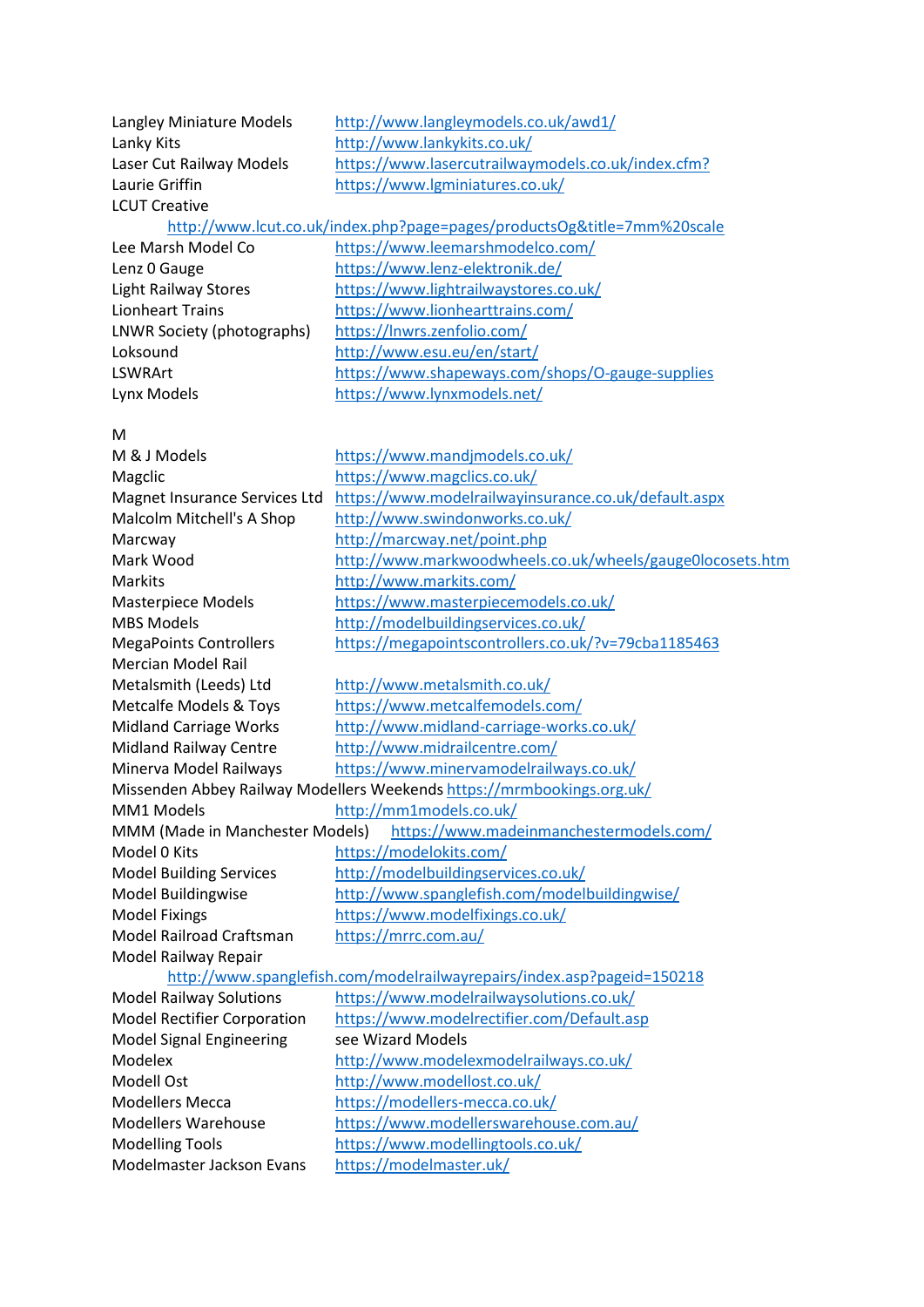| Langley Miniature Models           | http://www.langleymodels.co.uk/awd1/                                    |
|------------------------------------|-------------------------------------------------------------------------|
| Lanky Kits                         | http://www.lankykits.co.uk/                                             |
| Laser Cut Railway Models           | https://www.lasercutrailwaymodels.co.uk/index.cfm?                      |
| Laurie Griffin                     | https://www.lgminiatures.co.uk/                                         |
| <b>LCUT Creative</b>               |                                                                         |
|                                    | http://www.lcut.co.uk/index.php?page=pages/productsOg&title=7mm%20scale |
| Lee Marsh Model Co                 | https://www.leemarshmodelco.com/                                        |
| Lenz 0 Gauge                       | https://www.lenz-elektronik.de/                                         |
| <b>Light Railway Stores</b>        | https://www.lightrailwaystores.co.uk/                                   |
| <b>Lionheart Trains</b>            | https://www.lionhearttrains.com/                                        |
| LNWR Society (photographs)         | https://Inwrs.zenfolio.com/                                             |
| Loksound                           | http://www.esu.eu/en/start/                                             |
| LSWRArt                            | https://www.shapeways.com/shops/O-gauge-supplies                        |
| Lynx Models                        | https://www.lynxmodels.net/                                             |
|                                    |                                                                         |
| M                                  |                                                                         |
| M & J Models                       | https://www.mandjmodels.co.uk/                                          |
| Magclic                            | https://www.magclics.co.uk/                                             |
| Magnet Insurance Services Ltd      | https://www.modelrailwayinsurance.co.uk/default.aspx                    |
| Malcolm Mitchell's A Shop          | http://www.swindonworks.co.uk/                                          |
| Marcway                            | http://marcway.net/point.php                                            |
| Mark Wood                          | http://www.markwoodwheels.co.uk/wheels/gauge0locosets.htm               |
| Markits                            | http://www.markits.com/                                                 |
| Masterpiece Models                 | https://www.masterpiecemodels.co.uk/                                    |
| <b>MBS Models</b>                  | http://modelbuildingservices.co.uk/                                     |
| <b>MegaPoints Controllers</b>      | https://megapointscontrollers.co.uk/?v=79cba1185463                     |
| <b>Mercian Model Rail</b>          |                                                                         |
| Metalsmith (Leeds) Ltd             | http://www.metalsmith.co.uk/                                            |
| <b>Metcalfe Models &amp; Toys</b>  | https://www.metcalfemodels.com/                                         |
| <b>Midland Carriage Works</b>      | http://www.midland-carriage-works.co.uk/                                |
| <b>Midland Railway Centre</b>      | http://www.midrailcentre.com/                                           |
| Minerva Model Railways             | https://www.minervamodelrailways.co.uk/                                 |
|                                    | Missenden Abbey Railway Modellers Weekends https://mrmbookings.org.uk/  |
| MM1 Models NMM                     | http://mm1models.co.uk/                                                 |
| MMM (Made in Manchester Models)    | https://www.madeinmanchestermodels.com/                                 |
| Model 0 Kits                       | https://modelokits.com/                                                 |
| <b>Model Building Services</b>     | http://modelbuildingservices.co.uk/                                     |
| Model Buildingwise                 | http://www.spanglefish.com/modelbuildingwise/                           |
| <b>Model Fixings</b>               | https://www.modelfixings.co.uk/                                         |
| Model Railroad Craftsman           | https://mrrc.com.au/                                                    |
| Model Railway Repair               |                                                                         |
|                                    | http://www.spanglefish.com/modelrailwayrepairs/index.asp?pageid=150218  |
| <b>Model Railway Solutions</b>     | https://www.modelrailwaysolutions.co.uk/                                |
| <b>Model Rectifier Corporation</b> | https://www.modelrectifier.com/Default.asp                              |
| <b>Model Signal Engineering</b>    | see Wizard Models                                                       |
| Modelex                            | http://www.modelexmodelrailways.co.uk/                                  |
| Modell Ost                         | http://www.modellost.co.uk/                                             |
| <b>Modellers Mecca</b>             | https://modellers-mecca.co.uk/                                          |
| <b>Modellers Warehouse</b>         | https://www.modellerswarehouse.com.au/                                  |
| <b>Modelling Tools</b>             | https://www.modellingtools.co.uk/                                       |
| Modelmaster Jackson Evans          | https://modelmaster.uk/                                                 |
|                                    |                                                                         |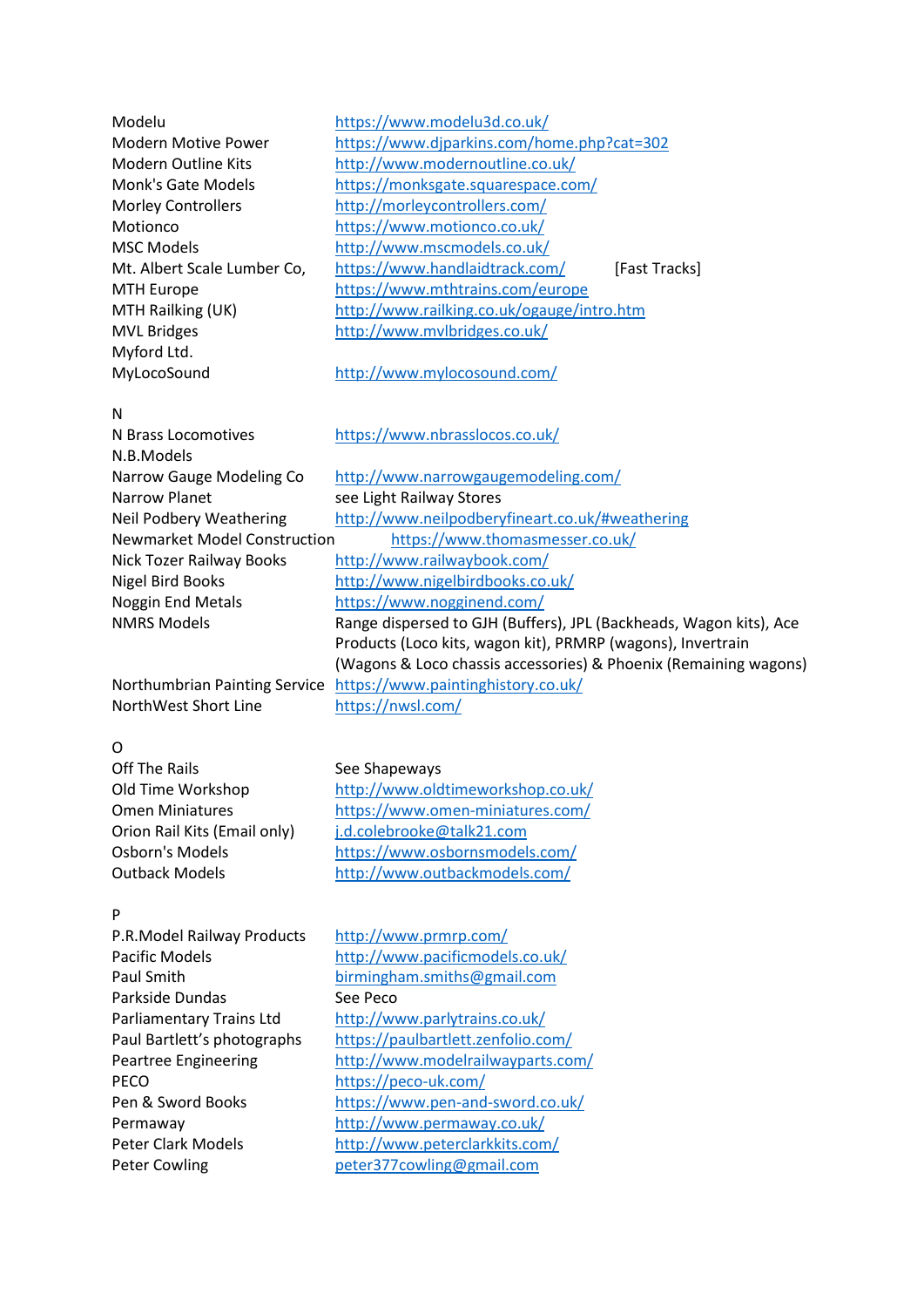| Modelu                      | https://www.modelu3d.co.uk/                |               |
|-----------------------------|--------------------------------------------|---------------|
| <b>Modern Motive Power</b>  | https://www.djparkins.com/home.php?cat=302 |               |
| <b>Modern Outline Kits</b>  | http://www.modernoutline.co.uk/            |               |
| Monk's Gate Models          | https://monksgate.squarespace.com/         |               |
| <b>Morley Controllers</b>   | http://morleycontrollers.com/              |               |
| Motionco                    | https://www.motionco.co.uk/                |               |
| <b>MSC Models</b>           | http://www.mscmodels.co.uk/                |               |
| Mt. Albert Scale Lumber Co, | https://www.handlaidtrack.com/             | [Fast Tracks] |
| <b>MTH Europe</b>           | https://www.mthtrains.com/europe           |               |
| MTH Railking (UK)           | http://www.railking.co.uk/ogauge/intro.htm |               |
| <b>MVL Bridges</b>          | http://www.mvlbridges.co.uk/               |               |
| Myford Ltd.                 |                                            |               |
| MyLocoSound                 | http://www.mylocosound.com/                |               |

## N

N Brass Locomotives <https://www.nbrasslocos.co.uk/> N.B.Models Narrow Gauge Modeling Co <http://www.narrowgaugemodeling.com/> Narrow Planet see Light Railway Stores Neil Podbery Weathering [http://www.neilpodberyfineart.co.uk/#weathering](http://www.neilpodberyfineart.co.uk/%23weathering) Newmarket Model Construction <https://www.thomasmesser.co.uk/> Nick Tozer Railway Books <http://www.railwaybook.com/> Nigel Bird Books <http://www.nigelbirdbooks.co.uk/> Noggin End Metals <https://www.nogginend.com/> NMRS Models Range dispersed to GJH (Buffers), JPL (Backheads, Wagon kits), Ace Products (Loco kits, wagon kit), PRMRP (wagons), Invertrain (Wagons & Loco chassis accessories) & Phoenix (Remaining wagons) Northumbrian Painting Service <https://www.paintinghistory.co.uk/>

NorthWest Short Line <https://nwsl.com/>

# $\Omega$

Off The Rails See Shapeways

## P

P.R.Model Railway Products <http://www.prmrp.com/> Parkside Dundas See Peco PECO <https://peco-uk.com/> Peter Cowling enterstanding [peter377cowling@gmail.com](https://d.docs.live.net/d2d4d56bcc8208f1/Documents/peter377cowling@gmail.com)

Old Time Workshop <http://www.oldtimeworkshop.co.uk/> Omen Miniatures <https://www.omen-miniatures.com/> Orion Rail Kits (Email only) [j.d.colebrooke@talk21.com](https://d.docs.live.net/d2d4d56bcc8208f1/Documents/j.d.colebrooke@talk21.com) Osborn's Models <https://www.osbornsmodels.com/> Outback Models <http://www.outbackmodels.com/>

# Pacific Models <http://www.pacificmodels.co.uk/> Paul Smith [birmingham.smiths@gmail.com](https://d.docs.live.net/d2d4d56bcc8208f1/Documents/7mm%20Scale%20Society/birmingham.smiths@gmail.com) Parliamentary Trains Ltd <http://www.parlytrains.co.uk/> Paul Bartlett's photographs <https://paulbartlett.zenfolio.com/> Peartree Engineering <http://www.modelrailwayparts.com/> Pen & Sword Books <https://www.pen-and-sword.co.uk/> Permaway <http://www.permaway.co.uk/> Peter Clark Models <http://www.peterclarkkits.com/>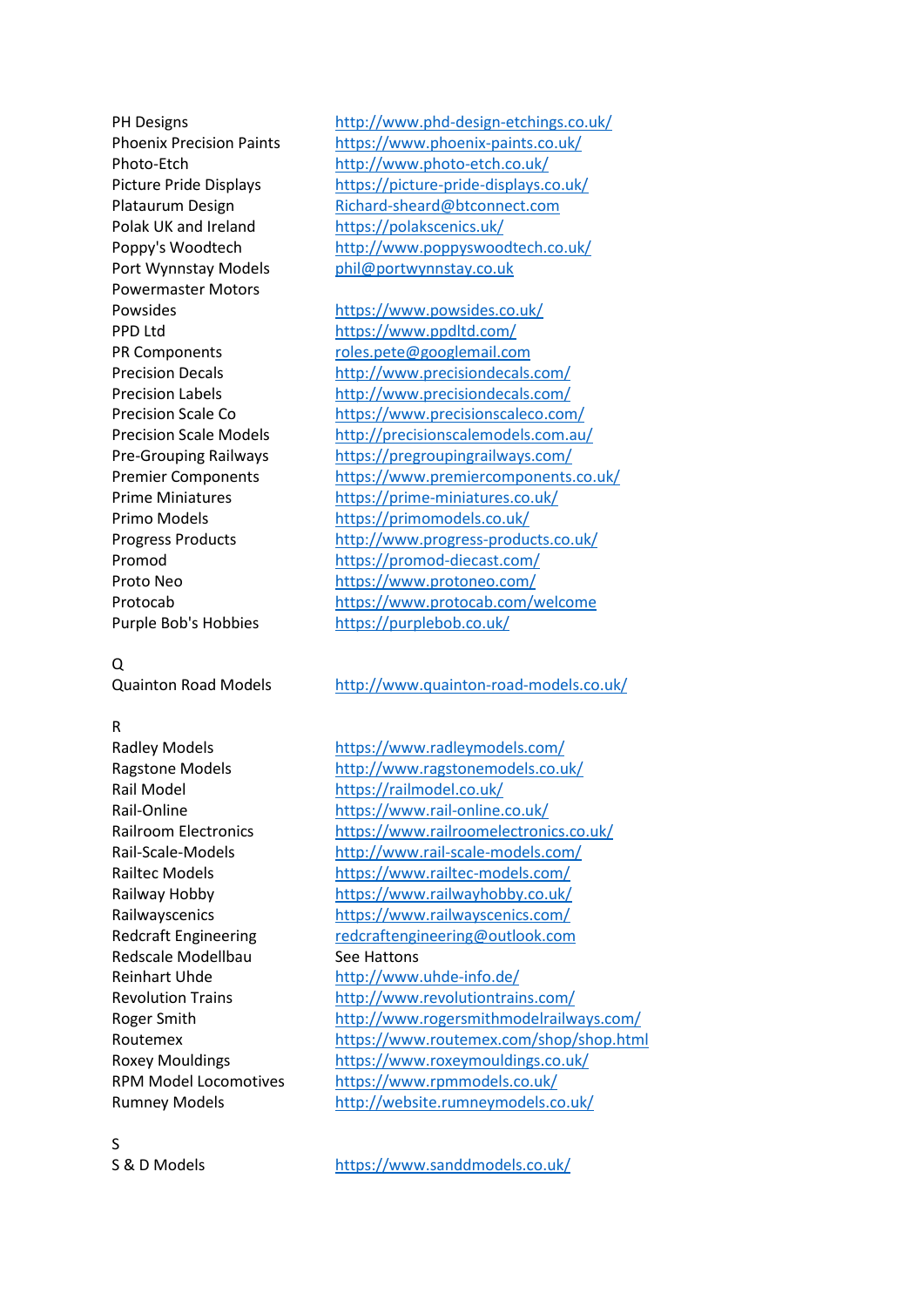Powermaster Motors

## Q

#### R

Redscale Modellbau See Hattons

PH Designs <http://www.phd-design-etchings.co.uk/> Phoenix Precision Paints <https://www.phoenix-paints.co.uk/> Photo-Etch <http://www.photo-etch.co.uk/> Picture Pride Displays <https://picture-pride-displays.co.uk/> Plataurum Design [Richard-sheard@btconnect.com](https://d.docs.live.net/d2d4d56bcc8208f1/Documents/Richard-sheard@btconnect.com) Polak UK and Ireland <https://polakscenics.uk/> Poppy's Woodtech <http://www.poppyswoodtech.co.uk/> Port Wynnstay Models [phil@portwynnstay.co.uk](https://d.docs.live.net/d2d4d56bcc8208f1/Documents/phil@portwynnstay.co.uk)

Powsides <https://www.powsides.co.uk/> PPD Ltd <https://www.ppdltd.com/> PR Components [roles.pete@googlemail.com](https://d.docs.live.net/d2d4d56bcc8208f1/Documents/roles.pete@googlemail.com) Precision Decals <http://www.precisiondecals.com/> Precision Labels <http://www.precisiondecals.com/> Precision Scale Co <https://www.precisionscaleco.com/> Precision Scale Models <http://precisionscalemodels.com.au/> Pre-Grouping Railways <https://pregroupingrailways.com/> Premier Components <https://www.premiercomponents.co.uk/> Prime Miniatures <https://prime-miniatures.co.uk/> Primo Models <https://primomodels.co.uk/> Progress Products <http://www.progress-products.co.uk/> Promod <https://promod-diecast.com/> Proto Neo <https://www.protoneo.com/> Protocab <https://www.protocab.com/welcome> Purple Bob's Hobbies <https://purplebob.co.uk/>

Quainton Road Models <http://www.quainton-road-models.co.uk/>

Radley Models <https://www.radleymodels.com/> Ragstone Models <http://www.ragstonemodels.co.uk/> Rail Model <https://railmodel.co.uk/> Rail-Online <https://www.rail-online.co.uk/> Railroom Electronics <https://www.railroomelectronics.co.uk/> Rail-Scale-Models <http://www.rail-scale-models.com/> Railtec Models <https://www.railtec-models.com/> Railway Hobby <https://www.railwayhobby.co.uk/> Railwayscenics <https://www.railwayscenics.com/> Redcraft Engineering [redcraftengineering@outlook.com](https://d.docs.live.net/d2d4d56bcc8208f1/Documents/redcraftengineering@outlook.com) Reinhart Uhde <http://www.uhde-info.de/> Revolution Trains <http://www.revolutiontrains.com/> Roger Smith <http://www.rogersmithmodelrailways.com/> Routemex <https://www.routemex.com/shop/shop.html> Roxey Mouldings <https://www.roxeymouldings.co.uk/> RPM Model Locomotives <https://www.rpmmodels.co.uk/> Rumney Models <http://website.rumneymodels.co.uk/>

S

S & D Models <https://www.sanddmodels.co.uk/>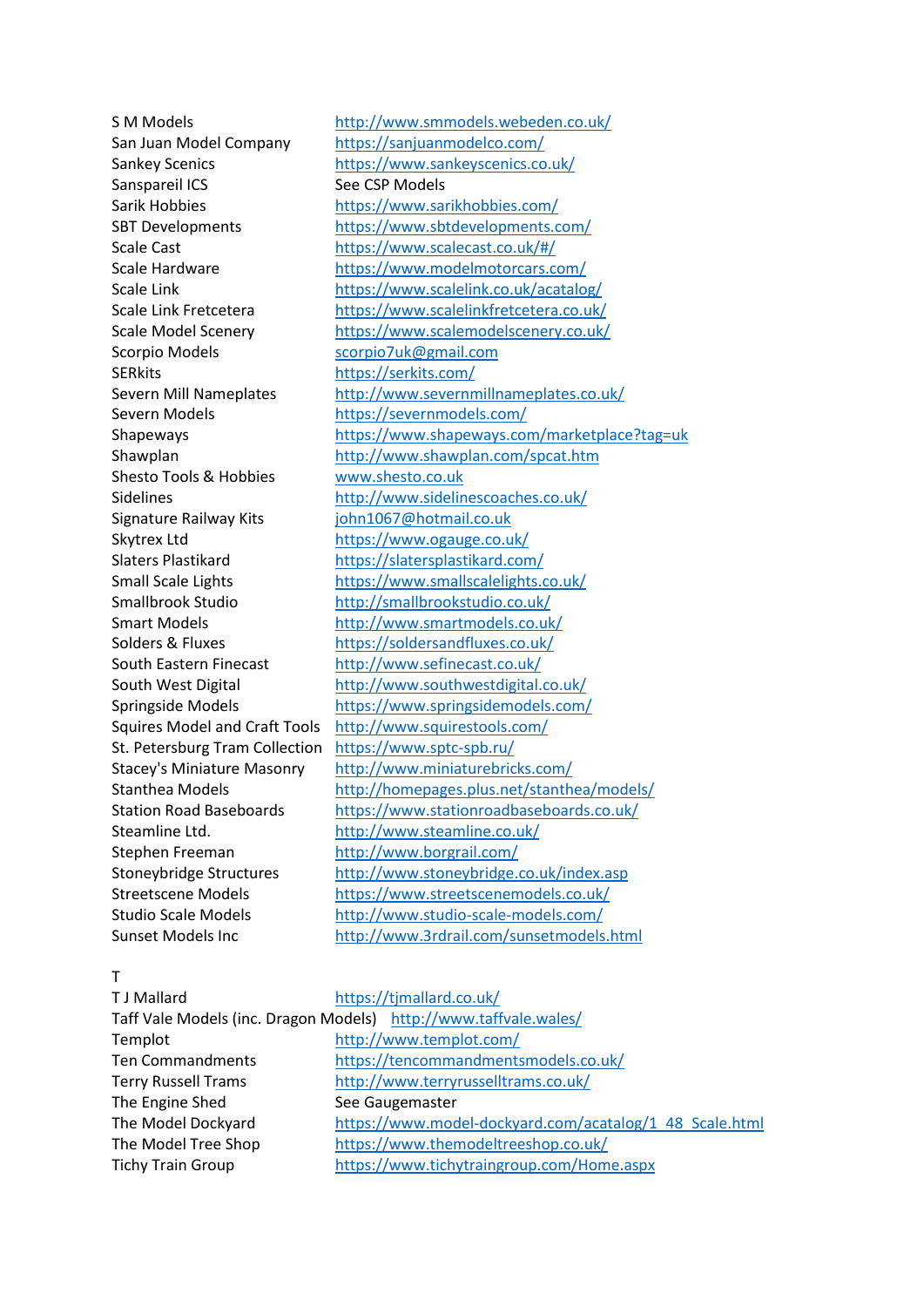S M Models <http://www.smmodels.webeden.co.uk/> Sanspareil ICS See CSP Models Scorpio Models [scorpio7uk@gmail.com](mailto:scorpio7uk@gmail.com) SERkits <https://serkits.com/> Severn Models <https://severnmodels.com/> Shesto Tools & Hobbies [www.shesto.co.uk](https://d.docs.live.net/d2d4d56bcc8208f1/Documents/www.shesto.co.uk) Signature Railway Kits [john1067@hotmail.co.uk](https://d.docs.live.net/d2d4d56bcc8208f1/Documents/john1067@hotmail.co.uk) Skytrex Ltd <https://www.ogauge.co.uk/> St. Petersburg Tram Collection <https://www.sptc-spb.ru/> Steamline Ltd. <http://www.steamline.co.uk/> Stephen Freeman <http://www.borgrail.com/> Sunset Models Inc <http://www.3rdrail.com/sunsetmodels.html>

San Juan Model Company <https://sanjuanmodelco.com/> Sankey Scenics <https://www.sankeyscenics.co.uk/> Sarik Hobbies <https://www.sarikhobbies.com/> SBT Developments <https://www.sbtdevelopments.com/> Scale Cast [https://www.scalecast.co.uk/#/](https://www.scalecast.co.uk/%23/) Scale Hardware <https://www.modelmotorcars.com/> Scale Link <https://www.scalelink.co.uk/acatalog/> Scale Link Fretcetera <https://www.scalelinkfretcetera.co.uk/> Scale Model Scenery <https://www.scalemodelscenery.co.uk/> Severn Mill Nameplates <http://www.severnmillnameplates.co.uk/> Shapeways <https://www.shapeways.com/marketplace?tag=uk> Shawplan <http://www.shawplan.com/spcat.htm> Sidelines <http://www.sidelinescoaches.co.uk/> Slaters Plastikard <https://slatersplastikard.com/> Small Scale Lights <https://www.smallscalelights.co.uk/> Smallbrook Studio <http://smallbrookstudio.co.uk/> Smart Models <http://www.smartmodels.co.uk/> Solders & Fluxes <https://soldersandfluxes.co.uk/> South Eastern Finecast <http://www.sefinecast.co.uk/> South West Digital <http://www.southwestdigital.co.uk/> Springside Models <https://www.springsidemodels.com/> Squires Model and Craft Tools <http://www.squirestools.com/> Stacey's Miniature Masonry <http://www.miniaturebricks.com/> Stanthea Models <http://homepages.plus.net/stanthea/models/> Station Road Baseboards <https://www.stationroadbaseboards.co.uk/> Stoneybridge Structures <http://www.stoneybridge.co.uk/index.asp> Streetscene Models <https://www.streetscenemodels.co.uk/> Studio Scale Models <http://www.studio-scale-models.com/>

#### T

| <b>T J Mallard</b>                                               | https://timallard.co.uk/                                |
|------------------------------------------------------------------|---------------------------------------------------------|
| Taff Vale Models (inc. Dragon Models) http://www.taffvale.wales/ |                                                         |
| Templot                                                          | http://www.templot.com/                                 |
| <b>Ten Commandments</b>                                          | https://tencommandmentsmodels.co.uk/                    |
| <b>Terry Russell Trams</b>                                       | http://www.terryrusselltrams.co.uk/                     |
| The Engine Shed                                                  | See Gaugemaster                                         |
| The Model Dockyard                                               | https://www.model-dockyard.com/acatalog/1 48 Scale.html |
| The Model Tree Shop                                              | https://www.themodeltreeshop.co.uk/                     |
| <b>Tichy Train Group</b>                                         | https://www.tichytraingroup.com/Home.aspx               |
|                                                                  |                                                         |